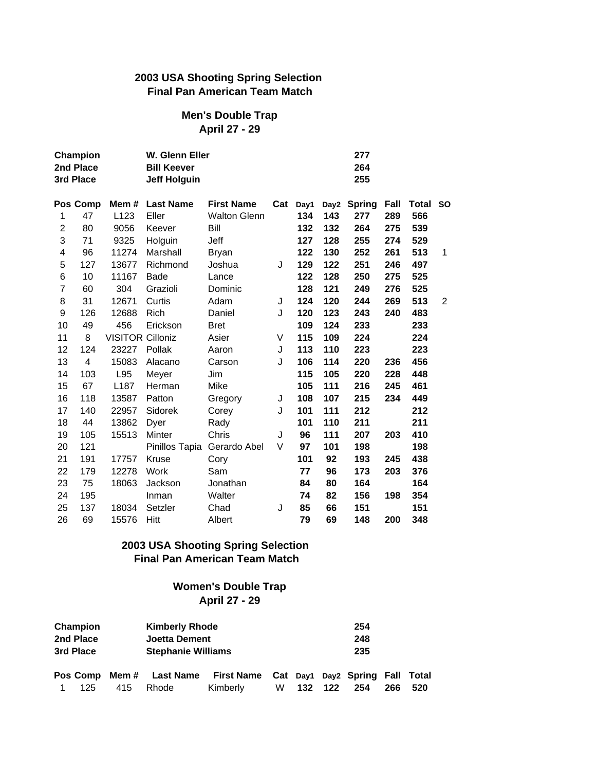### **2003 USA Shooting Spring Selection Final Pan American Team Match**

#### **Men's Double Trap April 27 - 29**

|                | Champion<br>2nd Place<br>3rd Place<br>Pos Comp |                         | W. Glenn Eller<br><b>Bill Keever</b><br><b>Jeff Holguin</b> |                     |     |      |     |             | 277<br>264<br>255 |              |           |  |  |  |
|----------------|------------------------------------------------|-------------------------|-------------------------------------------------------------|---------------------|-----|------|-----|-------------|-------------------|--------------|-----------|--|--|--|
|                |                                                |                         | Mem # Last Name                                             | <b>First Name</b>   | Cat | Day1 |     | Day2 Spring | Fall              | <b>Total</b> | <b>SO</b> |  |  |  |
| 1              | 47                                             | L <sub>123</sub>        | Eller                                                       | <b>Walton Glenn</b> |     | 134  | 143 | 277         | 289               | 566          |           |  |  |  |
| $\overline{c}$ | 80                                             | 9056                    | Keever                                                      | Bill                |     | 132  | 132 | 264         | 275               | 539          |           |  |  |  |
| 3              | 71                                             | 9325                    | Holguin                                                     | Jeff                |     | 127  | 128 | 255         | 274               | 529          |           |  |  |  |
| 4              | 96                                             | 11274                   | Marshall                                                    | <b>Bryan</b>        |     | 122  | 130 | 252         | 261               | 513          | 1         |  |  |  |
| 5              | 127                                            | 13677                   | Richmond                                                    | Joshua              | J   | 129  | 122 | 251         | 246               | 497          |           |  |  |  |
| 6              | 10                                             | 11167                   | Bade                                                        | Lance               |     | 122  | 128 | 250         | 275               | 525          |           |  |  |  |
| $\overline{7}$ | 60                                             | 304                     | Grazioli                                                    | Dominic             |     | 128  | 121 | 249         | 276               | 525          |           |  |  |  |
| 8              | 31                                             | 12671                   | Curtis                                                      | Adam                | J   | 124  | 120 | 244         | 269               | 513          | 2         |  |  |  |
| 9              | 126                                            | 12688                   | Rich                                                        | Daniel              | J   | 120  | 123 | 243         | 240               | 483          |           |  |  |  |
| 10             | 49                                             | 456                     | Erickson                                                    | <b>Bret</b>         |     | 109  | 124 | 233         |                   | 233          |           |  |  |  |
| 11             | 8                                              | <b>VISITOR Cilloniz</b> |                                                             | Asier               | V   | 115  | 109 | 224         |                   | 224          |           |  |  |  |
| 12             | 124                                            | 23227                   | Pollak                                                      | Aaron               | J   | 113  | 110 | 223         |                   | 223          |           |  |  |  |
| 13             | 4                                              | 15083                   | Alacano                                                     | Carson              | J   | 106  | 114 | 220         | 236               | 456          |           |  |  |  |
| 14             | 103                                            | L95                     | Meyer                                                       | Jim                 |     | 115  | 105 | 220         | 228               | 448          |           |  |  |  |
| 15             | 67                                             | L187                    | Herman                                                      | Mike                |     | 105  | 111 | 216         | 245               | 461          |           |  |  |  |
| 16             | 118                                            | 13587                   | Patton                                                      | Gregory             | J   | 108  | 107 | 215         | 234               | 449          |           |  |  |  |
| 17             | 140                                            | 22957                   | Sidorek                                                     | Corey               | J   | 101  | 111 | 212         |                   | 212          |           |  |  |  |
| 18             | 44                                             | 13862                   | Dyer                                                        | Rady                |     | 101  | 110 | 211         |                   | 211          |           |  |  |  |
| 19             | 105                                            | 15513                   | Minter                                                      | Chris               | J   | 96   | 111 | 207         | 203               | 410          |           |  |  |  |
| 20             | 121                                            |                         | Pinillos Tapia                                              | Gerardo Abel        | V   | 97   | 101 | 198         |                   | 198          |           |  |  |  |
| 21             | 191                                            | 17757                   | Kruse                                                       | Cory                |     | 101  | 92  | 193         | 245               | 438          |           |  |  |  |
| 22             | 179                                            | 12278                   | Work                                                        | Sam                 |     | 77   | 96  | 173         | 203               | 376          |           |  |  |  |
| 23             | 75                                             | 18063                   | Jackson                                                     | Jonathan            |     | 84   | 80  | 164         |                   | 164          |           |  |  |  |
| 24             | 195                                            |                         | Inman                                                       | Walter              |     | 74   | 82  | 156         | 198               | 354          |           |  |  |  |
| 25             | 137                                            | 18034                   | Setzler                                                     | Chad                | J   | 85   | 66  | 151         |                   | 151          |           |  |  |  |
| 26             | 69                                             | 15576                   | Hitt                                                        | Albert              |     | 79   | 69  | 148         | 200               | 348          |           |  |  |  |

# **2003 USA Shooting Spring Selection Final Pan American Team Match**

#### **Women's Double Trap April 27 - 29**

| Champion<br><b>Kimberly Rhode</b><br>2nd Place<br><b>Joetta Dement</b><br>3rd Place<br><b>Stephanie Williams</b> |  |  |       |                                                        |   |     |     | 254<br>248<br>235 |     |     |
|------------------------------------------------------------------------------------------------------------------|--|--|-------|--------------------------------------------------------|---|-----|-----|-------------------|-----|-----|
| Pos Comp Mem # Last Name<br>415<br>125.                                                                          |  |  | Rhode | First Name Cat Day1 Day2 Spring Fall Total<br>Kimberly | W | 132 | 122 | 254               | 266 | 520 |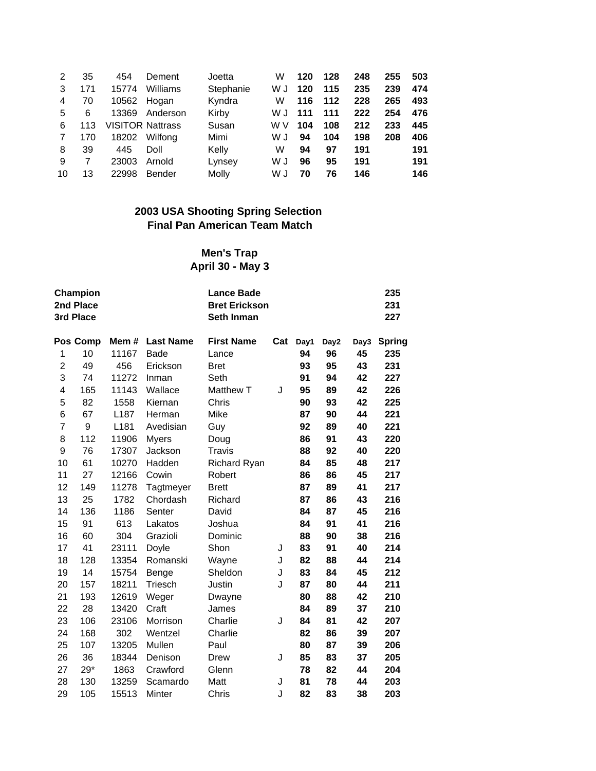| 2  | 35  | 454                     | Dement   | Joetta    | W   | 120 | 128 | 248 | 255 | 503 |
|----|-----|-------------------------|----------|-----------|-----|-----|-----|-----|-----|-----|
| 3  | 171 | 15774                   | Williams | Stephanie | W J | 120 | 115 | 235 | 239 | 474 |
| 4  | 70  | 10562 Hogan             |          | Kyndra    | w   | 116 | 112 | 228 | 265 | 493 |
| 5  | 6   | 13369                   | Anderson | Kirby     | W J | 111 | 111 | 222 | 254 | 476 |
| 6  | 113 | <b>VISITOR Nattrass</b> |          | Susan     | w v | 104 | 108 | 212 | 233 | 445 |
| 7  | 170 | 18202                   | Wilfong  | Mimi      | W J | 94  | 104 | 198 | 208 | 406 |
| 8  | 39  | 445                     | Doll     | Kelly     | W   | 94  | 97  | 191 |     | 191 |
| 9  |     | 23003                   | Arnold   | Lynsey    | W J | 96  | 95  | 191 |     | 191 |
| 10 | 13  | 22998                   | Bender   | Molly     | W J | 70  | 76  | 146 |     | 146 |

#### **2003 USA Shooting Spring Selection Final Pan American Team Match**

# **Men's Trap April 30 - May 3**

|                | Champion<br>2nd Place<br>3rd Place<br>Pos Comp |       | <b>Lance Bade</b><br><b>Bret Erickson</b><br>Seth Inman |                     |     |      |      | 235<br>231<br>227 |               |  |
|----------------|------------------------------------------------|-------|---------------------------------------------------------|---------------------|-----|------|------|-------------------|---------------|--|
|                |                                                | Mem#  | <b>Last Name</b>                                        | <b>First Name</b>   | Cat | Day1 | Day2 | Day3              | <b>Spring</b> |  |
| 1              | 10                                             | 11167 | <b>Bade</b>                                             | Lance               |     | 94   | 96   | 45                | 235           |  |
| $\overline{c}$ | 49                                             | 456   | Erickson                                                | <b>Bret</b>         |     | 93   | 95   | 43                | 231           |  |
| 3              | 74                                             | 11272 | Inman                                                   | Seth                |     | 91   | 94   | 42                | 227           |  |
| 4              | 165                                            | 11143 | Wallace                                                 | Matthew T           | J   | 95   | 89   | 42                | 226           |  |
| 5              | 82                                             | 1558  | Kiernan                                                 | Chris               |     | 90   | 93   | 42                | 225           |  |
| 6              | 67                                             | L187  | Herman                                                  | Mike                |     | 87   | 90   | 44                | 221           |  |
| $\overline{7}$ | 9                                              | L181  | Avedisian                                               | Guy                 |     | 92   | 89   | 40                | 221           |  |
| 8              | 112                                            | 11906 | <b>Myers</b>                                            | Doug                |     | 86   | 91   | 43                | 220           |  |
| 9              | 76                                             | 17307 | Jackson                                                 | Travis              |     | 88   | 92   | 40                | 220           |  |
| 10             | 61                                             | 10270 | Hadden                                                  | <b>Richard Ryan</b> |     | 84   | 85   | 48                | 217           |  |
| 11             | 27                                             | 12166 | Cowin                                                   | Robert              |     | 86   | 86   | 45                | 217           |  |
| 12             | 149                                            | 11278 | Tagtmeyer                                               | <b>Brett</b>        |     | 87   | 89   | 41                | 217           |  |
| 13             | 25                                             | 1782  | Chordash                                                | Richard             |     | 87   | 86   | 43                | 216           |  |
| 14             | 136                                            | 1186  | Senter                                                  | David               |     | 84   | 87   | 45                | 216           |  |
| 15             | 91                                             | 613   | Lakatos                                                 | Joshua              |     | 84   | 91   | 41                | 216           |  |
| 16             | 60                                             | 304   | Grazioli                                                | Dominic             |     | 88   | 90   | 38                | 216           |  |
| 17             | 41                                             | 23111 | Doyle                                                   | Shon                | J   | 83   | 91   | 40                | 214           |  |
| 18             | 128                                            | 13354 | Romanski                                                | Wayne               | J   | 82   | 88   | 44                | 214           |  |
| 19             | 14                                             | 15754 | Benge                                                   | Sheldon             | J   | 83   | 84   | 45                | 212           |  |
| 20             | 157                                            | 18211 | Triesch                                                 | Justin              | J   | 87   | 80   | 44                | 211           |  |
| 21             | 193                                            | 12619 | Weger                                                   | Dwayne              |     | 80   | 88   | 42                | 210           |  |
| 22             | 28                                             | 13420 | Craft                                                   | James               |     | 84   | 89   | 37                | 210           |  |
| 23             | 106                                            | 23106 | Morrison                                                | Charlie             | J   | 84   | 81   | 42                | 207           |  |
| 24             | 168                                            | 302   | Wentzel                                                 | Charlie             |     | 82   | 86   | 39                | 207           |  |
| 25             | 107                                            | 13205 | Mullen                                                  | Paul                |     | 80   | 87   | 39                | 206           |  |
| 26             | 36                                             | 18344 | Denison                                                 | Drew                | J   | 85   | 83   | 37                | 205           |  |
| 27             | $29*$                                          | 1863  | Crawford                                                | Glenn               |     | 78   | 82   | 44                | 204           |  |
| 28             | 130                                            | 13259 | Scamardo                                                | Matt                | J   | 81   | 78   | 44                | 203           |  |
| 29             | 105                                            | 15513 | Minter                                                  | Chris               | J   | 82   | 83   | 38                | 203           |  |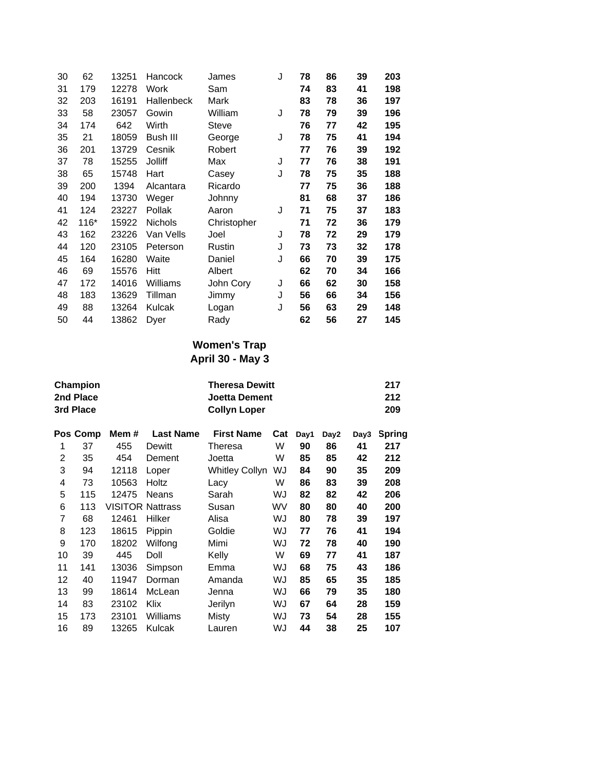| 30 | 62   | 13251 | Hancock        | James       | J | 78 | 86 | 39 | 203 |
|----|------|-------|----------------|-------------|---|----|----|----|-----|
| 31 | 179  | 12278 | Work           | Sam         |   | 74 | 83 | 41 | 198 |
| 32 | 203  | 16191 | Hallenbeck     | Mark        |   | 83 | 78 | 36 | 197 |
| 33 | 58   | 23057 | Gowin          | William     | J | 78 | 79 | 39 | 196 |
| 34 | 174  | 642   | Wirth          | Steve       |   | 76 | 77 | 42 | 195 |
| 35 | 21   | 18059 | Bush III       | George      | J | 78 | 75 | 41 | 194 |
| 36 | 201  | 13729 | Cesnik         | Robert      |   | 77 | 76 | 39 | 192 |
| 37 | 78   | 15255 | Jolliff        | Max         | J | 77 | 76 | 38 | 191 |
| 38 | 65   | 15748 | Hart           | Casey       | J | 78 | 75 | 35 | 188 |
| 39 | 200  | 1394  | Alcantara      | Ricardo     |   | 77 | 75 | 36 | 188 |
| 40 | 194  | 13730 | Weger          | Johnny      |   | 81 | 68 | 37 | 186 |
| 41 | 124  | 23227 | Pollak         | Aaron       | J | 71 | 75 | 37 | 183 |
| 42 | 116* | 15922 | <b>Nichols</b> | Christopher |   | 71 | 72 | 36 | 179 |
| 43 | 162  | 23226 | Van Vells      | Joel        | J | 78 | 72 | 29 | 179 |
| 44 | 120  | 23105 | Peterson       | Rustin      | J | 73 | 73 | 32 | 178 |
| 45 | 164  | 16280 | Waite          | Daniel      | J | 66 | 70 | 39 | 175 |
| 46 | 69   | 15576 | Hitt           | Albert      |   | 62 | 70 | 34 | 166 |
| 47 | 172  | 14016 | Williams       | John Cory   | J | 66 | 62 | 30 | 158 |
| 48 | 183  | 13629 | Tillman        | Jimmy       | J | 56 | 66 | 34 | 156 |
| 49 | 88   | 13264 | Kulcak         | Logan       | J | 56 | 63 | 29 | 148 |
| 50 | 44   | 13862 | Dyer           | Rady        |   | 62 | 56 | 27 | 145 |
|    |      |       |                |             |   |    |    |    |     |

#### **Women's Trap April 30 - May 3**

|    | Champion<br>2nd Place<br>3rd Place |       |                         | 217<br>212<br>209     |     |      |      |      |               |
|----|------------------------------------|-------|-------------------------|-----------------------|-----|------|------|------|---------------|
|    | Pos Comp                           | Mem # | <b>Last Name</b>        | <b>First Name</b>     | Cat | Day1 | Day2 | Day3 | <b>Spring</b> |
| 1  | 37                                 | 455   | Dewitt                  | Theresa               | W   | 90   | 86   | 41   | 217           |
| 2  | 35                                 | 454   | Dement                  | Joetta                | W   | 85   | 85   | 42   | 212           |
| 3  | 94                                 | 12118 | Loper                   | <b>Whitley Collyn</b> | WJ  | 84   | 90   | 35   | 209           |
| 4  | 73                                 | 10563 | Holtz                   | Lacy                  | W   | 86   | 83   | 39   | 208           |
| 5  | 115                                | 12475 | <b>Neans</b>            | Sarah                 | WJ  | 82   | 82   | 42   | 206           |
| 6  | 113                                |       | <b>VISITOR Nattrass</b> | Susan                 | WV  | 80   | 80   | 40   | 200           |
| 7  | 68                                 | 12461 | Hilker                  | Alisa                 | WJ  | 80   | 78   | 39   | 197           |
| 8  | 123                                | 18615 | Pippin                  | Goldie                | WJ  | 77   | 76   | 41   | 194           |
| 9  | 170                                | 18202 | Wilfong                 | Mimi                  | WJ  | 72   | 78   | 40   | 190           |
| 10 | 39                                 | 445   | Doll                    | Kelly                 | W   | 69   | 77   | 41   | 187           |
| 11 | 141                                | 13036 | Simpson                 | Emma                  | WJ  | 68   | 75   | 43   | 186           |
| 12 | 40                                 | 11947 | Dorman                  | Amanda                | WJ  | 85   | 65   | 35   | 185           |
| 13 | 99                                 | 18614 | McLean                  | Jenna                 | WJ  | 66   | 79   | 35   | 180           |
| 14 | 83                                 | 23102 | Klix                    | Jerilyn               | WJ  | 67   | 64   | 28   | 159           |
| 15 | 173                                | 23101 | Williams                | Misty                 | WJ  | 73   | 54   | 28   | 155           |
| 16 | 89                                 | 13265 | Kulcak                  | Lauren                | WJ  | 44   | 38   | 25   | 107           |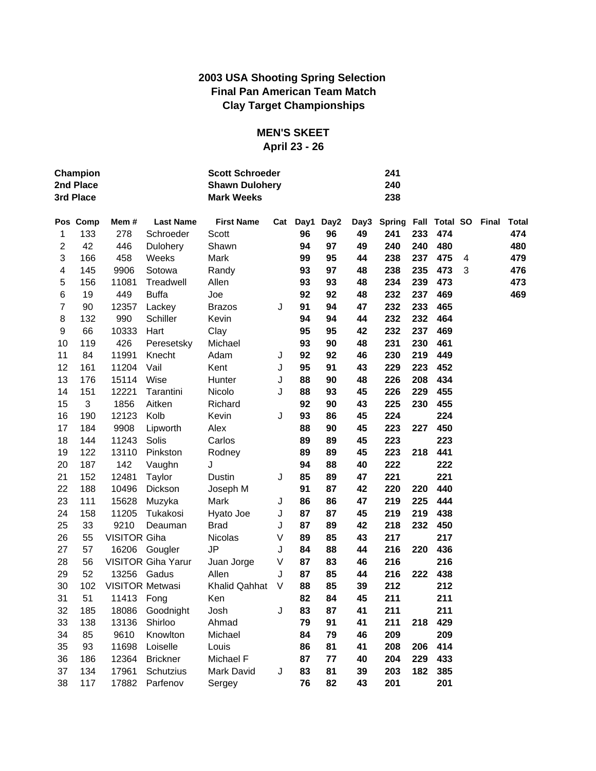## **2003 USA Shooting Spring Selection Final Pan American Team Match Clay Target Championships**

# **MEN'S SKEET**

# **April 23 - 26**

|    | Champion<br>2nd Place<br>3rd Place |                        |                           | <b>Scott Schroeder</b><br><b>Shawn Dulohery</b><br><b>Mark Weeks</b> |   |          | 241<br>240<br>238 |      |               |     |               |   |       |              |
|----|------------------------------------|------------------------|---------------------------|----------------------------------------------------------------------|---|----------|-------------------|------|---------------|-----|---------------|---|-------|--------------|
|    | Pos Comp                           | Mem#                   | <b>Last Name</b>          | <b>First Name</b>                                                    |   | Cat Day1 | Day2              | Day3 | <b>Spring</b> |     | Fall Total SO |   | Final | <b>Total</b> |
| 1  | 133                                | 278                    | Schroeder                 | Scott                                                                |   | 96       | 96                | 49   | 241           | 233 | 474           |   |       | 474          |
| 2  | 42                                 | 446                    | Dulohery                  | Shawn                                                                |   | 94       | 97                | 49   | 240           | 240 | 480           |   |       | 480          |
| 3  | 166                                | 458                    | Weeks                     | Mark                                                                 |   | 99       | 95                | 44   | 238           | 237 | 475           | 4 |       | 479          |
| 4  | 145                                | 9906                   | Sotowa                    | Randy                                                                |   | 93       | 97                | 48   | 238           | 235 | 473           | 3 |       | 476          |
| 5  | 156                                | 11081                  | Treadwell                 | Allen                                                                |   | 93       | 93                | 48   | 234           | 239 | 473           |   |       | 473          |
| 6  | 19                                 | 449                    | <b>Buffa</b>              | Joe                                                                  |   | 92       | 92                | 48   | 232           | 237 | 469           |   |       | 469          |
| 7  | 90                                 | 12357                  | Lackey                    | <b>Brazos</b>                                                        | J | 91       | 94                | 47   | 232           | 233 | 465           |   |       |              |
| 8  | 132                                | 990                    | Schiller                  | Kevin                                                                |   | 94       | 94                | 44   | 232           | 232 | 464           |   |       |              |
| 9  | 66                                 | 10333                  | Hart                      | Clay                                                                 |   | 95       | 95                | 42   | 232           | 237 | 469           |   |       |              |
| 10 | 119                                | 426                    | Peresetsky                | Michael                                                              |   | 93       | 90                | 48   | 231           | 230 | 461           |   |       |              |
| 11 | 84                                 | 11991                  | Knecht                    | Adam                                                                 | J | 92       | 92                | 46   | 230           | 219 | 449           |   |       |              |
| 12 | 161                                | 11204                  | Vail                      | Kent                                                                 | J | 95       | 91                | 43   | 229           | 223 | 452           |   |       |              |
| 13 | 176                                | 15114                  | Wise                      | Hunter                                                               | J | 88       | 90                | 48   | 226           | 208 | 434           |   |       |              |
| 14 | 151                                | 12221                  | Tarantini                 | Nicolo                                                               | J | 88       | 93                | 45   | 226           | 229 | 455           |   |       |              |
| 15 | 3                                  | 1856                   | Aitken                    | Richard                                                              |   | 92       | 90                | 43   | 225           | 230 | 455           |   |       |              |
| 16 | 190                                | 12123                  | Kolb                      | Kevin                                                                | J | 93       | 86                | 45   | 224           |     | 224           |   |       |              |
| 17 | 184                                | 9908                   | Lipworth                  | Alex                                                                 |   | 88       | 90                | 45   | 223           | 227 | 450           |   |       |              |
| 18 | 144                                | 11243                  | Solis                     | Carlos                                                               |   | 89       | 89                | 45   | 223           |     | 223           |   |       |              |
| 19 | 122                                | 13110                  | Pinkston                  | Rodney                                                               |   | 89       | 89                | 45   | 223           | 218 | 441           |   |       |              |
| 20 | 187                                | 142                    | Vaughn                    | J                                                                    |   | 94       | 88                | 40   | 222           |     | 222           |   |       |              |
| 21 | 152                                | 12481                  | Taylor                    | Dustin                                                               | J | 85       | 89                | 47   | 221           |     | 221           |   |       |              |
| 22 | 188                                | 10496                  | Dickson                   | Joseph M                                                             |   | 91       | 87                | 42   | 220           | 220 | 440           |   |       |              |
| 23 | 111                                | 15628                  | Muzyka                    | Mark                                                                 | J | 86       | 86                | 47   | 219           | 225 | 444           |   |       |              |
| 24 | 158                                | 11205                  | Tukakosi                  | Hyato Joe                                                            | J | 87       | 87                | 45   | 219           | 219 | 438           |   |       |              |
| 25 | 33                                 | 9210                   | Deauman                   | <b>Brad</b>                                                          | J | 87       | 89                | 42   | 218           | 232 | 450           |   |       |              |
| 26 | 55                                 | <b>VISITOR Giha</b>    |                           | <b>Nicolas</b>                                                       | V | 89       | 85                | 43   | 217           |     | 217           |   |       |              |
| 27 | 57                                 |                        | 16206 Gougler             | <b>JP</b>                                                            | J | 84       | 88                | 44   | 216           | 220 | 436           |   |       |              |
| 28 | 56                                 |                        | <b>VISITOR Giha Yarur</b> | Juan Jorge                                                           | V | 87       | 83                | 46   | 216           |     | 216           |   |       |              |
| 29 | 52                                 | 13256 Gadus            |                           | Allen                                                                | J | 87       | 85                | 44   | 216           | 222 | 438           |   |       |              |
| 30 | 102                                | <b>VISITOR Metwasi</b> |                           | <b>Khalid Qahhat</b>                                                 | V | 88       | 85                | 39   | 212           |     | 212           |   |       |              |
| 31 | 51                                 | 11413 Fong             |                           | Ken                                                                  |   | 82       | 84                | 45   | 211           |     | 211           |   |       |              |
| 32 | 185                                | 18086                  | Goodnight                 | Josh                                                                 | J | 83       | 87                | 41   | 211           |     | 211           |   |       |              |
| 33 | 138                                | 13136                  | Shirloo                   | Ahmad                                                                |   | 79       | 91                | 41   | 211           | 218 | 429           |   |       |              |
| 34 | 85                                 | 9610                   | Knowlton                  | Michael                                                              |   | 84       | 79                | 46   | 209           |     | 209           |   |       |              |
| 35 | 93                                 | 11698                  | Loiselle                  | Louis                                                                |   | 86       | 81                | 41   | 208           | 206 | 414           |   |       |              |
| 36 | 186                                | 12364                  | <b>Brickner</b>           | Michael F                                                            |   | 87       | 77                | 40   | 204           | 229 | 433           |   |       |              |
| 37 | 134                                | 17961                  | Schutzius                 | Mark David                                                           | J | 83       | 81                | 39   | 203           | 182 | 385           |   |       |              |
| 38 | 117                                | 17882                  | Parfenov                  | Sergey                                                               |   | 76       | 82                | 43   | 201           |     | 201           |   |       |              |